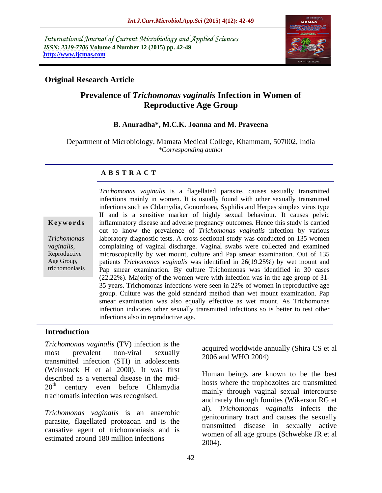International Journal of Current Microbiology and Applied Sciences *ISSN: 2319-7706* **Volume 4 Number 12 (2015) pp. 42-49 <http://www.ijcmas.com>**



# **Original Research Article**

# **Prevalence of** *Trichomonas vaginalis* **Infection in Women of Reproductive Age Group**

### **B. Anuradha\*, M.C.K. Joanna and M. Praveena**

Department of Microbiology, Mamata Medical College, Khammam, 507002, India *\*Corresponding author*

### **A B S T R A C T**

trichomoniasis

*Trichomonas vaginalis* is a flagellated parasite, causes sexually transmitted infections mainly in women. It is usually found with other sexually transmitted infections such as Chlamydia, Gonorrhoea, Syphilis and Herpes simplex virus type II and is a sensitive marker of highly sexual behaviour. It causes pelvic inflammatory disease and adverse pregnancy outcomes. Hence this study is carried **Ke ywo rds** out to know the prevalence of *Trichomonas vaginalis* infection by various laboratory diagnostic tests. A cross sectional study was conducted on 135 women *Trichomonas*  complaining of vaginal discharge. Vaginal swabs were collected and examined *vaginalis,* microscopically by wet mount, culture and Pap smear examination. Out of 135 Reproductive patients *Trichomonas vaginalis* was identified in 26(19.25%) by wet mount and Age Group, Pap smear examination. By culture Trichomonas was identified in 30 cases (22.22%). Majority of the women were with infection was in the age group of 31- 35 years. Trichomonas infections were seen in 22% of women in reproductive age group. Culture was the gold standard method than wet mount examination. Pap smear examination was also equally effective as wet mount. As Trichomonas infection indicates other sexually transmitted infections so is better to test other infections also in reproductive age.

# **Introduction**

*Trichomonas vaginalis* (TV) infection is the most prevalent non-viral sexually  $\frac{2006 \text{ cm}}{2006 \text{ cm}}$  WHO 2004) transmitted infection (STI) in adolescents (Weinstock H et al 2000). It was first described as a venereal disease in the mid trachomatis infection was recognised.

*Trichomonas vaginalis* is an anaerobic parasite, flagellated protozoan and is the causative agent of trichomoniasis and is estimated around 180 million infections  $\frac{\text{wollen}}{2004}$ .

acquired worldwide annually (Shira CS et al 2006 and WHO 2004)

20<sup>th</sup> century even before Chlamydia hosts where the trophozoites are transmitted Human beings are known to be the best hosts where the trophozoites are transmitted mainly through vaginal sexual intercourse and rarely through fomites (Wikerson RG et al). *Trichomonas vaginalis* infects the genitourinary tract and causes the sexually transmitted disease in sexually active women of all age groups (Schwebke JR et al 2004).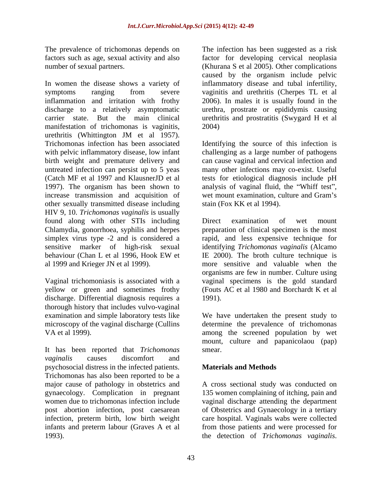The prevalence of trichomonas depends on The infection has been suggested as a risk

In women the disease shows a variety of inflammatory disease and tubal infertility, symptoms ranging from severe vaginitis and urethritis (Cherpes TL et al inflammation and irritation with frothy 2006). In males it is usually found in the discharge to a relatively asymptomatic urethra, prostrate or epididymis causing carrier state. But the main clinical urethritis and prostratitis (Swygard H et al manifestation of trichomonas is vaginitis, 2004) urethritis (Whittington JM et al 1957). Trichomonas infection has been associated Identifying the source of this infection is with pelvic inflammatory disease, low infant challenging as a large number of pathogens birth weight and premature delivery and untreated infection can persist up to 5 yeas many other infections may co-exist. Useful (Catch MF et al 1997 and KlausnerJD et al tests for etiological diagnosis include pH 1997). The organism has been shown to analysis of vaginal fluid, the "Whiff test", increase transmission and acquisition of wet mount examination, culture and Gram's other sexually transmitted disease including HIV 9, 10. *Trichomonas vaginalis* is usually found along with other STIs including Chlamydia, gonorrhoea, syphilis and herpes preparation of clinical specimen is the most simplex virus type -2 and is considered a rapid, and less expensive technique for sensitive marker of high-risk sexual identifying *Trichomonas vaginalis* (Alcamo behaviour (Chan L et al 1996, Hook EW et IE 2000). The broth culture technique is al 1999 and Krieger JN et al 1999). more sensitive and valuable when the The previous of finitheronos depends on The infection has been suggested as a risk<br>theory and single constrained as a risk of the infection has been suggested as a risk<br>theory of the infection in the sense suggest of a ch

yellow or green and sometimes frothy discharge. Differential diagnosis requires a 1991). thorough history that includes vulvo-vaginal

It has been reported that *Trichomonas vaginalis* causes discomfort and psychosocial distress in the infected patients. Trichomonas has also been reported to be a major cause of pathology in obstetrics and A cross sectional study was conducted on gynaecology. Complication in pregnant 135 women complaining of itching, pain and women due to trichomonas infection include post abortion infection, post caesarean of Obstetrics and Gynaecology in a tertiary infection, preterm birth, low birth weight care hospital. Vaginals wabs were collected infants and preterm labour (Graves A et al from those patients and were processed for

factors such as age, sexual activity and also factor for developing cervical neoplasia number of sexual partners. (Khurana S et al 2005). Other complications caused by the organism include pelvic 2004)

> can cause vaginal and cervical infection and wet mount examination, culture and Gram's stain (Fox KK et al 1994).

Vaginal trichomoniasis is associated with a vaginal specimens is the gold standard Direct examination of wet mount IE 2000). The broth culture technique is organisms are few in number. Culture using (Fouts AC et al 1980 and Borchardt K et al 1991).

examination and simple laboratory tests like We have undertaken the present study to microscopy of the vaginal discharge (Cullins determine the prevalence of trichomonas VA et al 1999). among the screened population by wet mount, culture and papanicolaou (pap) smear.

# **Materials and Methods**

vaginal discharge attending the department the detection of *Trichomonas vaginalis*.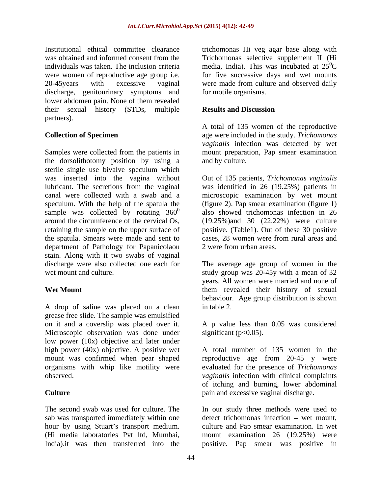Institutional ethical committee clearance trichomonas Hi veg agar base along with was obtained and informed consent from the Trichomonas selective supplement II (Hi individuals was taken. The inclusion criteria media, India). This was incubated at  $25^{\circ}$ C were women of reproductive age group i.e. for five successive days and wet mounts 20-45years with excessive vaginal were made from culture and observed daily discharge, genitourinary symptoms and lower abdomen pain. None of them revealed their sexual history (STDs, multiple partners).

Samples were collected from the patients in the dorsolithotomy position by using a sterile single use bivalve speculum which was inserted into the vagina without Out of 135 patients, *Trichomonas vaginalis* lubricant. The secretions from the vaginal was identified in 26 (19.25%) patients in canal were collected with a swab and a microscopic examination by wet mount speculum. With the help of the spatula the (figure 2). Pap smear examination (figure 1) sample was collected by rotating  $360^{\circ}$ around the circumference of the cervical Os,  $(19.25\%)$  and 30  $(22.22\%)$  were culture retaining the sample on the upper surface of positive. (Table1). Out of these 30 positive the spatula. Smears were made and sent to cases, 28 women were from rural areas and department of Pathology for Papanicolaou stain. Along with it two swabs of vaginal discharge were also collected one each for The average age group of women in the

A drop of saline was placed on a clean in table 2. grease free slide. The sample was emulsified on it and a coverslip was placed over it. A p value less than 0.05 was considered Microscopic observation was done under low power (10x) objective and later under

The second swab was used for culture. The The our study three methods were used to sab was transported immediately within one hour by using Stuart's transport medium.

 $\rm{^{0}C}$ for motile organisms.

### **Results and Discussion**

**Collection of Specimen** age were included in the study. *Trichomonas*  A total of 135 women of the reproductive *vaginalis* infection was detected by wet mount preparation, Pap smear examination and by culture.

> 0 also showed trichomonas infection in 26 cases, 28 women were from rural areas and 2 were from urban areas.

wet mount and culture. The study group was 20-45y with a mean of 32 Wet Mount **Werelock** them revealed their history of sexual years. All women were married and none of behaviour. Age group distribution is shown in table 2.

significant ( $p<0.05$ ).

high power (40x) objective. A positive wet A total number of 135 women in the mount was confirmed when pear shaped reproductive age from 20-45 y were organisms with whip like motility were evaluated for the presence of *Trichomonas* observed. *vaginalis* infection with clinical complaints **Culture Culture Culture Culture Culture Culture Culture Culture Culture Culture Culture Culture Culture Culture Culture Culture Culture Culture Culture Culture Culture Culture C** of itching and burning, lower abdominal

(Hi media laboratories Pvt ltd, Mumbai, mount examination 26 (19.25%) were India).it was then transferred into the positive. Pap smear was positive inpain and excessive vaginal discharge. In our study three methods were used to  $detect$  trichomonas infection  $-$  wet mount, culture and Pap smear examination. In wet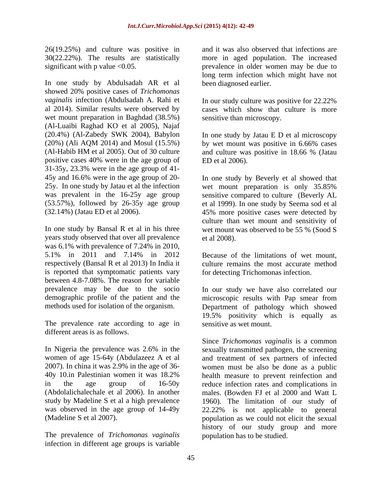26(19.25%) and culture was positive in

In one study by Abdulsadah AR et al showed 20% positive cases of *Trichomonas vaginalis* infection (Abdulsadah A. Rahi et al 2014). Similar results were observed by cases which show that culture is more wet mount preparation in Baghdad (38.5%) (Al-Luaibi Raghad KO et al 2005), Najaf (20.4%) (Al-Zabedy SWK 2004), Babylon In one study by Jatau E D et al microscopy (20%) (Ali AQM 2014) and Mosul (15.5%) (Al-Habib HM et al 2005). Out of 30 culture and culture was positive in 18.66 % (Jatau positive cases 40% were in the age group of 31-35y, 23.3% were in the age group of 41- 45y and 16.6% were in the age group of 20-

In one study by Bansal R et al in his three wet mount was observed to be 55 % (Sood S years study observed that over all prevalence et al 2008). was 6.1% with prevalence of 7.24% in 2010, 5.1% in 2011 and 7.14% in 2012 respectively (Bansal R et al 2013) In India it is reported that symptomatic patients vary between 4.8-7.08%. The reason for variable

The prevalence rate according to age in different areas is as follows.

The prevalence of *Trichomonas vaginalis* infection in different age groups is variable

30(22.22%). The results are statistically more in aged population. The increased significant with p value <0.05. prevalence in older women may be due to and it was also observed that infections are long term infection which might have not been diagnosed earlier.

> In our study culture was positive for 22.22% sensitive than microscopy.

by wet mount was positive in 6.66% cases and culture was positive in 18.66 % (Jatau ED et al 2006).

25y. In one study by Jatau et al the infection wet mount preparation is only 35.85% was prevalent in the 16-25y age group sensitive compared to culture (Beverly AL (53.57%), followed by 26-35y age group et al 1999). In one study by Seema sod et al (32.14%) (Jatau ED et al 2006). 45% more positive cases were detected by In one study by Beverly et al showed that culture than wet mount and sensitivity of wet mount was observed to be 55 % (Sood S et al 2008).

> Because of the limitations of wet mount, culture remains the most accurate method for detecting Trichomonas infection.

prevalence may be due to the socio In our study we have also correlated our demographic profile of the patient and the microscopic results with Pap smear from methods used for isolation of the organism. Department of pathology which showed 19.5% positivity which is equally as sensitive as wet mount.

In Nigeria the prevalence was 2.6% in the sexually transmitted pathogen, the screening women of age 15-64y (Abdulazeez A et al and treatment of sex partners of infected 2007). In china it was 2.9% in the age of 36- women must be also be done as a public 40y 10.in Palestinian women it was 18.2% health measure to prevent reinfection and in the age group of 16-50y reduce infection rates and complications in (Abdolalichalechale et al 2006). In another males. (Bowden FJ et al 2000 and Watt L study by Madeline S et al a high prevalence 1960). The limitation of our study of was observed in the age group of 14-49y 22.22% is not applicable to general (Madeline S et al 2007). population as we could not elicit the sexual Since *Trichomonas vaginalis* is a common history of our study group and more population has to be studied.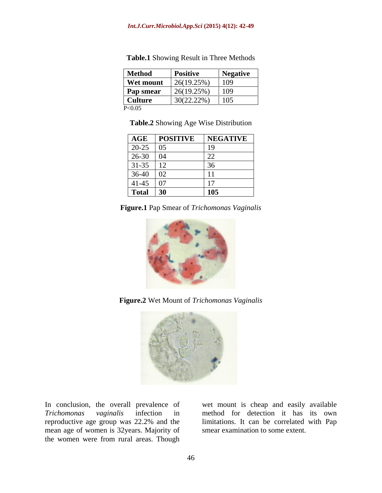| <b>Method</b>    | <b>Positive</b> | <b>Negative</b> |
|------------------|-----------------|-----------------|
| <b>Wet mount</b> | 26(19.25%)      | 109             |
| <b>Pap smear</b> | 26(19.25%)      | 109             |
| <b>Culture</b>   | 30(22.22%)      | 105             |
| P<0.05           |                 |                 |

**Table.1** Showing Result in Three Methods

**Table.2** Showing Age Wise Distribution

| <b>AGE</b> | <b>POSITIVE</b> | <b>NEGATIVE</b>   |
|------------|-----------------|-------------------|
| $20-25$    |                 |                   |
| $26-30$    |                 |                   |
| $31 - 35$  |                 |                   |
| 36-40      |                 |                   |
| $41-45$    |                 |                   |
| Total      | $\vert 30$      | 10F<br><b>TO2</b> |

|  | <b>Figure.1</b> Pap Smear of <i>Trichomonas</i><br>s Vagınalıs |  |
|--|----------------------------------------------------------------|--|
|  |                                                                |  |



**Figure.2** Wet Mount of *Trichomonas Vaginalis*



reproductive age group was 22.2% and the mean age of women is 32years. Majority of the women were from rural areas. Though

In conclusion, the overall prevalence of wet mount is cheap and easily available *Trichomonas vaginalis* infection in method for detection it hasits own limitations. It can be correlated with Pap smear examination to some extent.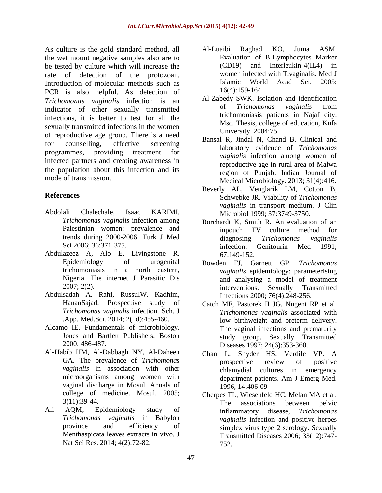As culture is the gold standard method, all and Al-Luaibi Raghad KO, Juma ASM. the wet mount negative samples also are to be tested by culture which will increase the rate of detection of the protozoan. Women infected with T. vaginalis. Med J<br>Introduction of molecular methods such as Islamic World Acad Sci. 2005; Introduction of molecular methods such as Islamic Worl<br>
PCP is also helpful As detection of 16(4):159-164. PCR is also helpful. As detection of *Trichomonas vaginalis* infection is an Al-Zabedy SWK. Isolation and identification indicator of other correlly transmitted of *Trichomonas vaginalis* from indicator of other sexually transmitted infections, it is better to test for all the sexually transmitted infections in the women of reproductive age group. There is a need for counselling, effective screening bansar K, and I, Chang B. Chincar and programmes, providing treatment for the maginalis infection emong women of infected partners and creating awareness in the population about this infection and its

- Abdolali Chalechale, Isaac KARIMI. Microbiol 1999; 37:3749-3750.
- Abdulazeez A, Alo E, Livingstone R. trichomoniasis in a north eastern, Nigeria. The internet J Parasitic Dis
- Abdulsadah A. Rahi, RussulW. Kadhim, *Trichomonas vaginalis* infection. Sch. J
- Alcamo IE. Fundamentals of microbiology. Jones and Bartlett Publishers, Boston
- Al-Habib HM, Al-Dabbagh NY, Al-Daheen vaginal discharge in Mosul. Annals of 1996; 14:406-09
- Nat Sci Res. 2014; 4(2):72-82.
- Al-Luaibi Raghad KO, Juma ASM. Evaluation of B-Lymphocytes Marker (CD19) and Interleukin-4(IL4) in women infected with T.vaginalis. Med J Islamic World Acad Sci. 2005; 16(4):159-164.
- Al-Zabedy SWK. Isolation and identification of *Trichomonas vaginalis* from trichomoniasis patients in Najaf city. Msc. Thesis, college of education, Kufa University. 2004:75.
- mode of transmission.<br>
Medical Microbiology. 2013; 31(4):416. Bansal R, Jindal N, Chand B. Clinical and laboratory evidence of *Trichomonas vaginalis* infection among women of reproductive age in rural area of Malwa region of Punjab. Indian Journal of
- **References** Schwebke JR. Viability of *Trichomonas*  Beverly AL, Venglarik LM, Cotton B, *vaginalis* in transport medium. J Clin
	- *Trichomonas vaginalis* infection among Borchardt K, Smith R. An evaluation of an Palestinian women: prevalence and inpouch TV culture method for trends during 2000-2006. Turk J Med Sci 2006; 36:371-375. **Sci 2006; 36:371-375. Sci 2006; 36:371-375. Sci 2006**; 36:371-375. inpouch TV culture method for diagnosing *Trichomonas vaginalis* infection. Genitourin Med 1991; 67:149-152.
	- Epidemiology of urogenital Bowden FJ, Garnett GP. *Trichomonas*  2007; 2(2). Transmitted interventions. Sexually Transmitted *vaginalis* epidemiology: parameterising and analysing a model of treatment interventions. Sexually Transmitted Infections 2000; 76(4):248-256.
	- HananSajad. Prospective study of Catch MF, Pastorek II JG, Nugent RP et al. .App. Med.Sci. 2014; 2(1d):455-460. 2000; 486-487. Diseases 1997; 24(6):353-360. *Trichomonas vaginalis* associated with low birthweight and preterm delivery. The vaginal infections and prematurity study group. Sexually Transmitted
	- GA. The prevalence of *Trichomonas* **by prospective review** of **positive** *vaginalis* in association with other chlamydial cultures in emergency microorganisms among women with department patients. Am J Emerg Med. Chan L, Snyder HS, Verdile VP. A prospective review of positive 1996; 14:406-09
- college of medicine. Mosul. 2005; Cherpes TL, Wiesenfeld HC, Melan MA et al.  $3(11):39-44.$  The associations between pelvic Ali AQM; Epidemiology study of inflammatory disease, Trichomonas *Trichomonas vaginalis* in Babylon *vaginalis* infection and positive herpes province and efficiency of simplex virus type 2 serology. Sexually Menthaspicata leaves extracts in vivo. J Transmitted Diseases 2006; 33(12):747-The associations between pelvic inflammatory disease, *Trichomonas*  752.